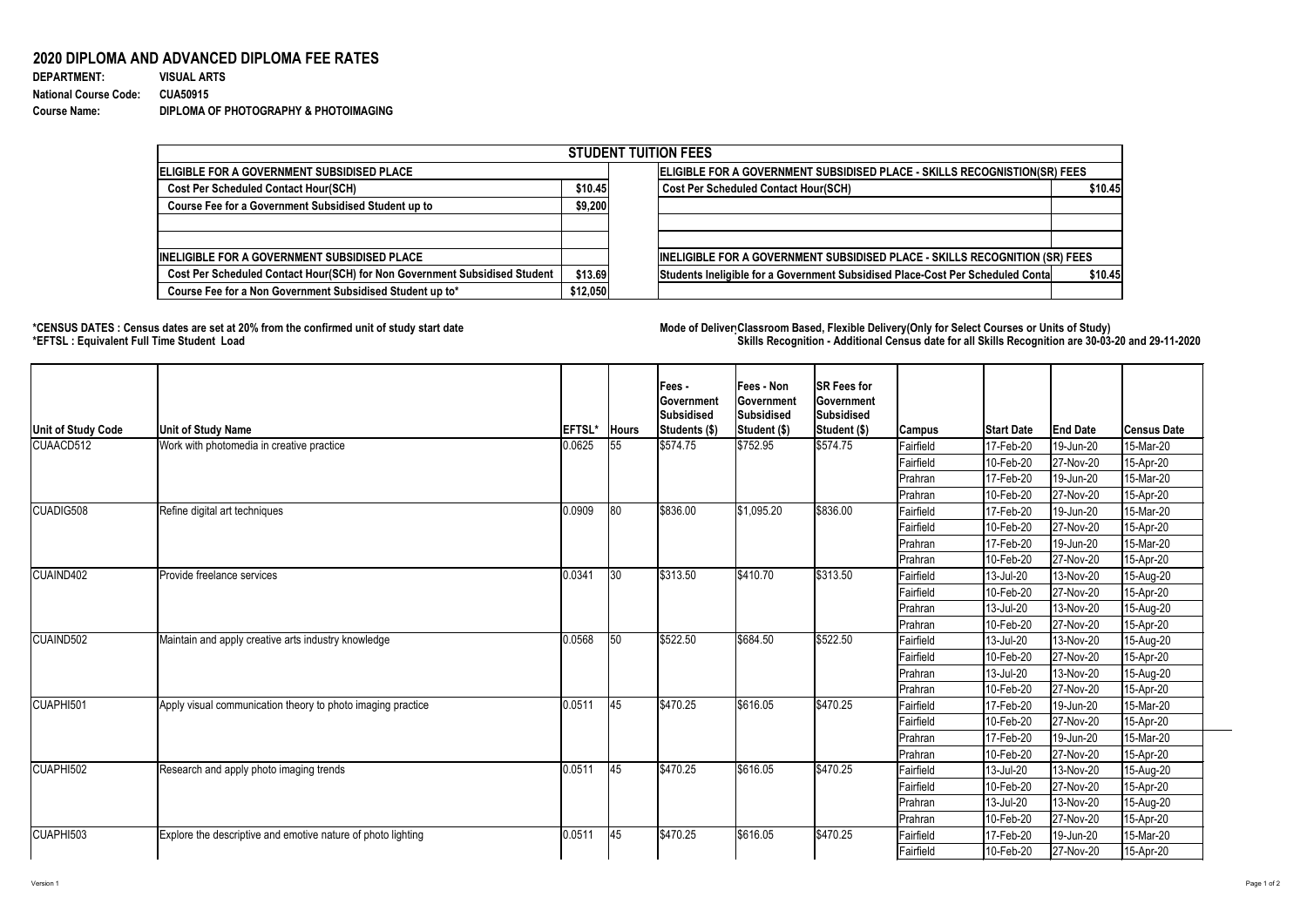

## **2020 DIPLOMA AND ADVANCED DIPLOMA FEE RATES**

| <b>DEPARTMENT:</b>           | <b>VISUAL ARTS</b>                    |
|------------------------------|---------------------------------------|
| <b>National Course Code:</b> | <b>CUA50915</b>                       |
| <b>Course Name:</b>          | DIPLOMA OF PHOTOGRAPHY & PHOTOIMAGING |

## **\*CENSUS DATES : Census dates are set at 20% from the confirmed unit of study start date Mode of DeliveryClassroom Based, Flexible Delivery(Only for Select Courses or Units of Study) \*EFTSL : Equivalent Full Time Student Load Skills Recognition - Additional Census date for all Skills Recognition are 30-03-20 and 29-11-2020**

| <b>STUDENT TUITION FEES</b>                                                |                                                                           |                                                                                           |  |  |  |  |  |  |
|----------------------------------------------------------------------------|---------------------------------------------------------------------------|-------------------------------------------------------------------------------------------|--|--|--|--|--|--|
| ELIGIBLE FOR A GOVERNMENT SUBSIDISED PLACE                                 | ELIGIBLE FOR A GOVERNMENT SUBSIDISED PLACE - SKILLS RECOGNISTION(SR) FEES |                                                                                           |  |  |  |  |  |  |
| <b>Cost Per Scheduled Contact Hour(SCH)</b>                                |                                                                           | Cost Per Scheduled Contact Hour(SCH)<br>\$10.45                                           |  |  |  |  |  |  |
| <b>Course Fee for a Government Subsidised Student up to</b>                | \$9,200                                                                   |                                                                                           |  |  |  |  |  |  |
| <b>INELIGIBLE FOR A GOVERNMENT SUBSIDISED PLACE</b>                        |                                                                           | INELIGIBLE FOR A GOVERNMENT SUBSIDISED PLACE - SKILLS RECOGNITION (SR) FEES               |  |  |  |  |  |  |
| Cost Per Scheduled Contact Hour(SCH) for Non Government Subsidised Student | \$13.69                                                                   | Students Ineligible for a Government Subsidised Place-Cost Per Scheduled Conta<br>\$10.45 |  |  |  |  |  |  |
| Course Fee for a Non Government Subsidised Student up to*                  | \$12,050                                                                  |                                                                                           |  |  |  |  |  |  |

| Unit of Study Code | Unit of Study Name                                           | <b>EFTSL*</b> | <b>Hours</b> | <b>Fees-</b><br>∣Government<br>Subsidised<br>Students (\$) | <b>Fees - Non</b><br><b>Government</b><br><b>Subsidised</b><br>Student (\$) | <b>SR Fees for</b><br><b>Government</b><br>Subsidised<br>Student (\$) | Campus           | <b>Start Date</b> | <b>End Date</b> | <b>Census Date</b> |
|--------------------|--------------------------------------------------------------|---------------|--------------|------------------------------------------------------------|-----------------------------------------------------------------------------|-----------------------------------------------------------------------|------------------|-------------------|-----------------|--------------------|
| CUAACD512          | Work with photomedia in creative practice                    | 0.0625        | 55           | $\frac{1}{574.75}$                                         | \$752.95                                                                    | $\frac{1}{574.75}$                                                    | Fairfield        | 17-Feb-20         | 19-Jun-20       | 15-Mar-20          |
|                    |                                                              |               |              |                                                            |                                                                             |                                                                       | Fairfield        | 10-Feb-20         | 27-Nov-20       | 15-Apr-20          |
|                    |                                                              |               |              |                                                            |                                                                             |                                                                       | Prahran          | 17-Feb-20         | 19-Jun-20       | 15-Mar-20          |
|                    |                                                              |               |              |                                                            |                                                                             |                                                                       | Prahran          | 10-Feb-20         | 27-Nov-20       | 15-Apr-20          |
| CUADIG508          | Refine digital art techniques                                | 0.0909        | 80           | \$836.00                                                   | \$1,095.20                                                                  | \$836.00                                                              | Fairfield        | 17-Feb-20         | 19-Jun-20       | 15-Mar-20          |
|                    |                                                              |               |              |                                                            |                                                                             |                                                                       | <b>Fairfield</b> | 10-Feb-20         | 27-Nov-20       | 15-Apr-20          |
|                    |                                                              |               |              |                                                            |                                                                             |                                                                       | Prahran          | 17-Feb-20         | 19-Jun-20       | 15-Mar-20          |
|                    |                                                              |               |              |                                                            |                                                                             |                                                                       | Prahran          | 10-Feb-20         | 27-Nov-20       | 15-Apr-20          |
| CUAIND402          | Provide freelance services                                   | 0.0341        | $ 30\rangle$ | \$313.50                                                   | \$410.70                                                                    | \$313.50                                                              | Fairfield        | 13-Jul-20         | 13-Nov-20       | 15-Aug-20          |
|                    |                                                              |               |              |                                                            |                                                                             |                                                                       | Fairfield        | 10-Feb-20         | 27-Nov-20       | 15-Apr-20          |
|                    |                                                              |               |              |                                                            |                                                                             |                                                                       | Prahran          | 13-Jul-20         | 13-Nov-20       | 15-Aug-20          |
|                    |                                                              |               |              |                                                            |                                                                             |                                                                       | <b>Prahran</b>   | 10-Feb-20         | 27-Nov-20       | 15-Apr-20          |
| CUAIND502          | Maintain and apply creative arts industry knowledge          | 0.0568        | 50           | \$522.50                                                   | \$684.50                                                                    | \$522.50                                                              | Fairfield        | 13-Jul-20         | 13-Nov-20       | 15-Aug-20          |
|                    |                                                              |               |              |                                                            |                                                                             |                                                                       | Fairfield        | 10-Feb-20         | 27-Nov-20       | 15-Apr-20          |
|                    |                                                              |               |              |                                                            |                                                                             |                                                                       | Prahran          | 13-Jul-20         | 13-Nov-20       | 15-Aug-20          |
|                    |                                                              |               |              |                                                            |                                                                             |                                                                       | <b>Prahran</b>   | 10-Feb-20         | 27-Nov-20       | 15-Apr-20          |
| CUAPHI501          | Apply visual communication theory to photo imaging practice  | 0.0511        | 45           | $\frac{1}{2}470.25$                                        | \$616.05                                                                    | $\frac{1}{2}470.25$                                                   | Fairfield        | 17-Feb-20         | 19-Jun-20       | 15-Mar-20          |
|                    |                                                              |               |              |                                                            |                                                                             |                                                                       | Fairfield        | 10-Feb-20         | 27-Nov-20       | 15-Apr-20          |
|                    |                                                              |               |              |                                                            |                                                                             |                                                                       | Prahran          | 17-Feb-20         | 19-Jun-20       | 15-Mar-20          |
|                    |                                                              |               |              |                                                            |                                                                             |                                                                       | Prahran          | 10-Feb-20         | 27-Nov-20       | 15-Apr-20          |
| CUAPHI502          | Research and apply photo imaging trends                      | 0.0511        | 45           | \$470.25                                                   | \$616.05                                                                    | $\frac{1}{2}470.25$                                                   | Fairfield        | 13-Jul-20         | 13-Nov-20       | 15-Aug-20          |
|                    |                                                              |               |              |                                                            |                                                                             |                                                                       | Fairfield        | 10-Feb-20         | 27-Nov-20       | 15-Apr-20          |
|                    |                                                              |               |              |                                                            |                                                                             |                                                                       | Prahran          | 13-Jul-20         | 13-Nov-20       | 15-Aug-20          |
|                    |                                                              |               |              |                                                            |                                                                             |                                                                       | <b>Prahran</b>   | 10-Feb-20         | $ 27-Nov-20 $   | 15-Apr-20          |
| CUAPHI503          | Explore the descriptive and emotive nature of photo lighting | 0.051'        | 45           | \$470.25                                                   | \$616.05                                                                    | $\frac{1}{2}470.25$                                                   | Fairfield        | 17-Feb-20         | 19-Jun-20       | 15-Mar-20          |
|                    |                                                              |               |              |                                                            |                                                                             |                                                                       | Fairfield        | 10-Feb-20         | $ 27-Nov-20 $   | 15-Apr-20          |